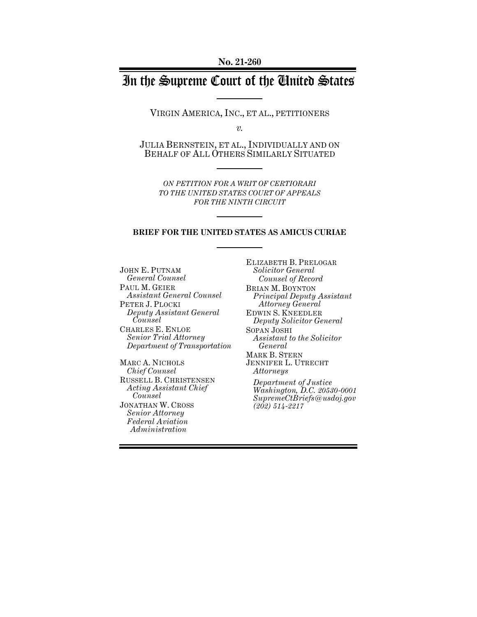# In the Supreme Court of the United States

VIRGIN AMERICA, INC., ET AL., PETITIONERS

*v.*

JULIA BERNSTEIN, ET AL., INDIVIDUALLY AND ON BEHALF OF ALL OTHERS SIMILARLY SITUATED

*ON PETITION FOR A WRIT OF CERTIORARI TO THE UNITED STATES COURT OF APPEALS FOR THE NINTH CIRCUIT* 

#### **BRIEF FOR THE UNITED STATES AS AMICUS CURIAE**

JOHN E. PUTNAM *General Counsel* PAUL M. GEIER *Assistant General Counsel*  PETER J. PLOCKI *Deputy Assistant General Counsel*  CHARLES E. ENLOE *Senior Trial Attorney Department of Transportation*

MARC A. NICHOLS *Chief Counsel* RUSSELL B. CHRISTENSEN *Acting Assistant Chief Counsel*  JONATHAN W. CROSS *Senior Attorney Federal Aviation Administration*

ELIZABETH B. PRELOGAR *Solicitor General Counsel of Record* BRIAN M. BOYNTON *Principal Deputy Assistant Attorney General* EDWIN S. KNEEDLER *Deputy Solicitor General* SOPAN JOSHI *Assistant to the Solicitor General* MARK B. STERN JENNIFER L. UTRECHT *Attorneys Department of Justice Washington, D.C. 20530-0001 SupremeCtBriefs@usdoj.gov*

*(202) 514-2217*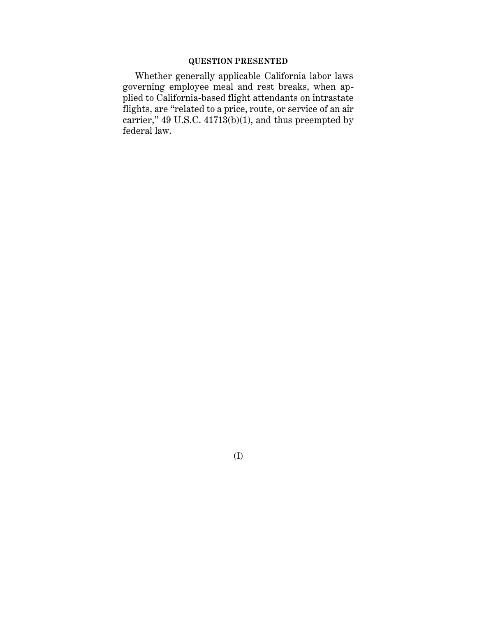### **QUESTION PRESENTED**

Whether generally applicable California labor laws governing employee meal and rest breaks, when applied to California-based flight attendants on intrastate flights, are "related to a price, route, or service of an air carrier," 49 U.S.C.  $41713(b)(1)$ , and thus preempted by federal law.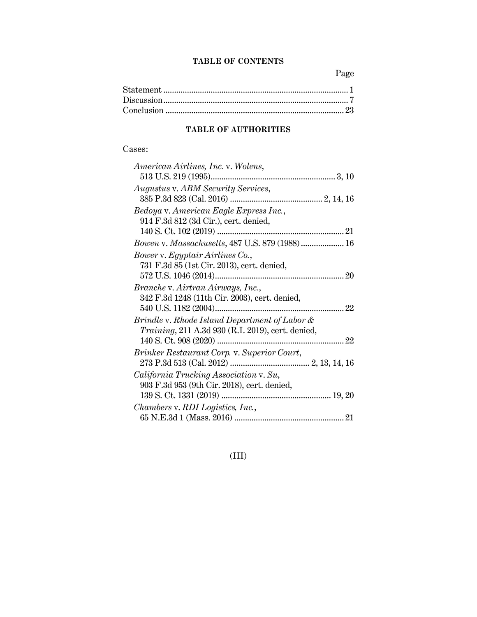## **TABLE OF CONTENTS**

Page

## **TABLE OF AUTHORITIES**

### Cases:

| American Airlines, Inc. v. Wolens,                |
|---------------------------------------------------|
|                                                   |
| Augustus v. ABM Security Services,                |
|                                                   |
| Bedoya v. American Eagle Express Inc.,            |
| 914 F.3d 812 (3d Cir.), cert. denied,             |
|                                                   |
| Bowen v. Massachusetts, 487 U.S. 879 (1988) 16    |
| Bower v. Egyptair Airlines Co.,                   |
| 731 F.3d 85 (1st Cir. 2013), cert. denied,        |
|                                                   |
| Branche v. Airtran Airways, Inc.,                 |
| 342 F.3d 1248 (11th Cir. 2003), cert. denied,     |
|                                                   |
| Brindle v. Rhode Island Department of Labor &     |
| Training, 211 A.3d 930 (R.I. 2019), cert. denied, |
|                                                   |
| Brinker Restaurant Corp. v. Superior Court,       |
|                                                   |
| California Trucking Association v. Su,            |
| 903 F.3d 953 (9th Cir. 2018), cert. denied,       |
|                                                   |
| Chambers v. RDI Logistics, Inc.,                  |
|                                                   |

## (III)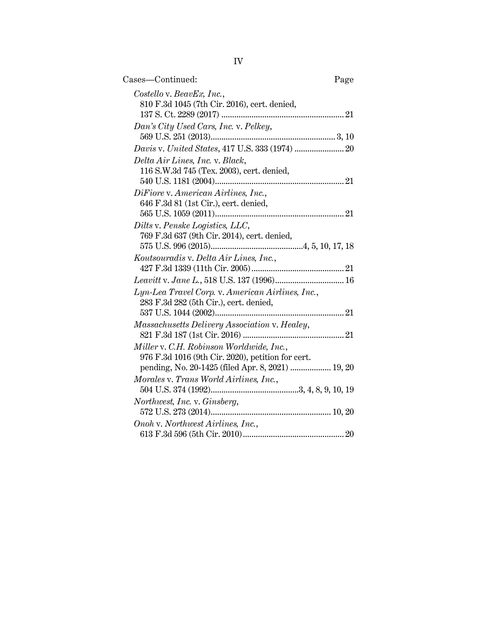IV

| Cases—Continued:                                                                                                                                   | Page |
|----------------------------------------------------------------------------------------------------------------------------------------------------|------|
| Costello v. BeavEx, Inc.,<br>810 F.3d 1045 (7th Cir. 2016), cert. denied,                                                                          |      |
| Dan's City Used Cars, Inc. v. Pelkey,                                                                                                              |      |
|                                                                                                                                                    |      |
| Delta Air Lines, Inc. v. Black,<br>116 S.W.3d 745 (Tex. 2003), cert. denied,                                                                       |      |
| DiFiore v. American Airlines, Inc.,<br>646 F.3d 81 (1st Cir.), cert. denied,                                                                       |      |
| Dilts v. Penske Logistics, LLC,<br>769 F.3d 637 (9th Cir. 2014), cert. denied,                                                                     |      |
| Koutsouradis v. Delta Air Lines, Inc.,                                                                                                             |      |
|                                                                                                                                                    |      |
| Lyn-Lea Travel Corp. v. American Airlines, Inc.,<br>283 F.3d 282 (5th Cir.), cert. denied,                                                         |      |
|                                                                                                                                                    |      |
| Massachusetts Delivery Association v. Healey,                                                                                                      |      |
| Miller v. C.H. Robinson Worldwide, Inc.,<br>976 F.3d 1016 (9th Cir. 2020), petition for cert.<br>pending, No. 20-1425 (filed Apr. 8, 2021)  19, 20 |      |
| Morales v. Trans World Airlines, Inc.,                                                                                                             |      |
|                                                                                                                                                    |      |
| Northwest, Inc. v. Ginsberg,                                                                                                                       |      |
| Onoh v. Northwest Airlines, Inc.,                                                                                                                  |      |
|                                                                                                                                                    |      |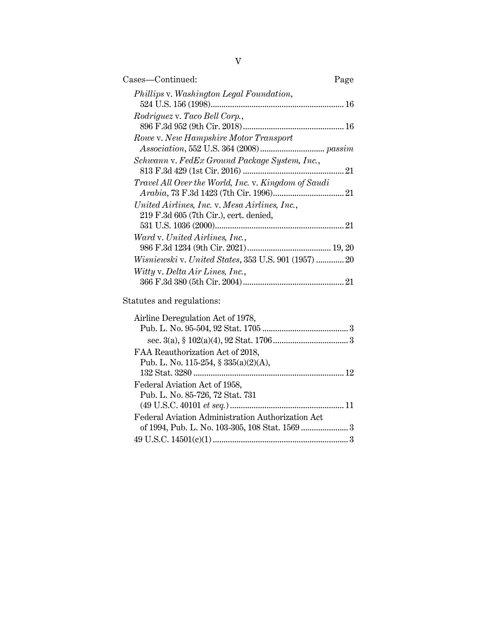| Cases—Continued:                                                                               | Page |
|------------------------------------------------------------------------------------------------|------|
| Phillips v. Washington Legal Foundation,                                                       |      |
| Rodriguez v. Taco Bell Corp.,                                                                  |      |
| Rowe v. New Hampshire Motor Transport                                                          |      |
| Schwann v. FedEx Ground Package System, Inc.,                                                  |      |
| Travel All Over the World, Inc. v. Kingdom of Saudi                                            |      |
| United Airlines, Inc. v. Mesa Airlines, Inc.,<br>219 F.3d 605 (7th Cir.), cert. denied,        |      |
|                                                                                                | 21   |
| Ward v. United Airlines, Inc.,                                                                 |      |
| <i>Wisniewski</i> v. United States, 353 U.S. 901 (1957)  20<br>Witty v. Delta Air Lines, Inc., |      |
|                                                                                                | 21   |

## Statutes and regulations:

| Airline Deregulation Act of 1978,                 |  |
|---------------------------------------------------|--|
|                                                   |  |
|                                                   |  |
| FAA Reauthorization Act of 2018,                  |  |
| Pub. L. No. 115-254, $\S 335(a)(2)(A)$ ,          |  |
|                                                   |  |
| Federal Aviation Act of 1958,                     |  |
| Pub. L. No. 85-726, 72 Stat. 731                  |  |
|                                                   |  |
| Federal Aviation Administration Authorization Act |  |
|                                                   |  |
| $49 \text{ U.S.C. } 14501(c)(1) \dots 3$          |  |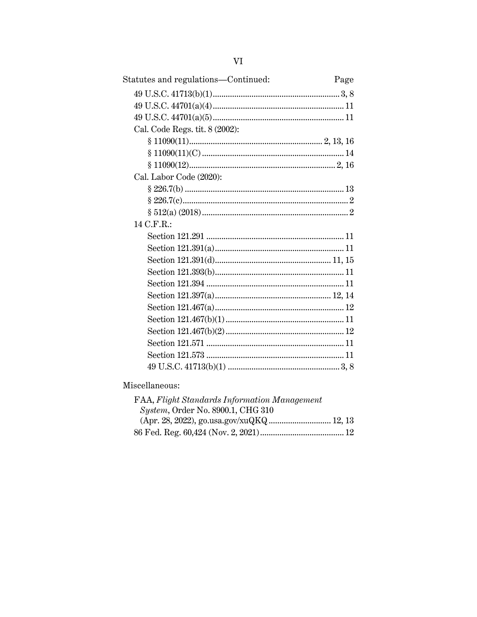| Statutes and regulations-Continued: | Page |
|-------------------------------------|------|
|                                     |      |
|                                     |      |
|                                     |      |
| Cal. Code Regs. tit. 8 (2002):      |      |
|                                     |      |
|                                     |      |
|                                     |      |
| Cal. Labor Code (2020):             |      |
|                                     |      |
|                                     |      |
|                                     |      |
| 14 C.F.R.:                          |      |
|                                     |      |
|                                     |      |
|                                     |      |
|                                     |      |
|                                     |      |
|                                     |      |
|                                     |      |
|                                     |      |
|                                     |      |
|                                     |      |
|                                     |      |
|                                     |      |
|                                     |      |

## Miscellaneous:

| FAA, Flight Standards Information Management |  |
|----------------------------------------------|--|
| <i>System, Order No. 8900.1, CHG 310</i>     |  |
|                                              |  |
|                                              |  |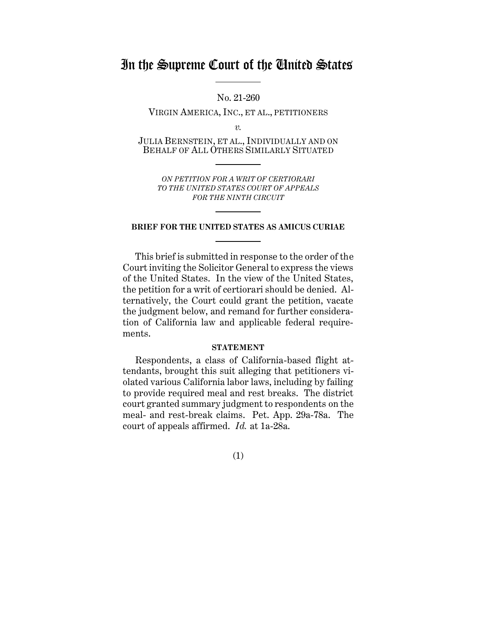## In the Supreme Court of the United States

No. 21-260

VIRGIN AMERICA, INC., ET AL., PETITIONERS

*v.*

JULIA BERNSTEIN, ET AL., INDIVIDUALLY AND ON BEHALF OF ALL OTHERS SIMILARLY SITUATED

*ON PETITION FOR A WRIT OF CERTIORARI TO THE UNITED STATES COURT OF APPEALS FOR THE NINTH CIRCUIT*

### **BRIEF FOR THE UNITED STATES AS AMICUS CURIAE**

This brief is submitted in response to the order of the Court inviting the Solicitor General to express the views of the United States. In the view of the United States, the petition for a writ of certiorari should be denied. Alternatively, the Court could grant the petition, vacate the judgment below, and remand for further consideration of California law and applicable federal requirements.

### **STATEMENT**

<span id="page-6-0"></span>Respondents, a class of California-based flight attendants, brought this suit alleging that petitioners violated various California labor laws, including by failing to provide required meal and rest breaks. The district court granted summary judgment to respondents on the meal- and rest-break claims. Pet. App. 29a-78a. The court of appeals affirmed. *Id.* at 1a-28a.

(1)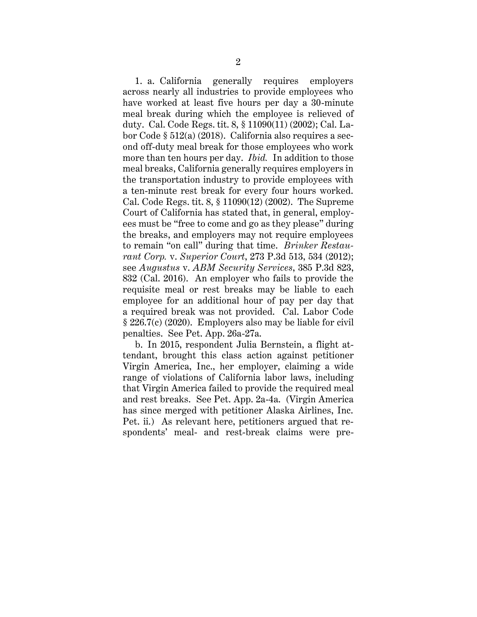1. a. California generally requires employers across nearly all industries to provide employees who have worked at least five hours per day a 30-minute meal break during which the employee is relieved of duty. Cal. Code Regs. tit. 8, § 11090(11) (2002); Cal. Labor Code § 512(a) (2018). California also requires a second off-duty meal break for those employees who work more than ten hours per day. *Ibid.* In addition to those meal breaks, California generally requires employers in the transportation industry to provide employees with a ten-minute rest break for every four hours worked. Cal. Code Regs. tit. 8, § 11090(12) (2002). The Supreme Court of California has stated that, in general, employees must be "free to come and go as they please" during the breaks, and employers may not require employees to remain "on call" during that time. *Brinker Restaurant Corp.* v. *Superior Court*, 273 P.3d 513, 534 (2012); see *Augustus* v. *ABM Security Services*, 385 P.3d 823, 832 (Cal. 2016). An employer who fails to provide the requisite meal or rest breaks may be liable to each employee for an additional hour of pay per day that a required break was not provided. Cal. Labor Code § 226.7(c) (2020). Employers also may be liable for civil penalties. See Pet. App. 26a-27a.

b. In 2015, respondent Julia Bernstein, a flight attendant, brought this class action against petitioner Virgin America, Inc., her employer, claiming a wide range of violations of California labor laws, including that Virgin America failed to provide the required meal and rest breaks. See Pet. App. 2a-4a. (Virgin America has since merged with petitioner Alaska Airlines, Inc. Pet. ii.) As relevant here, petitioners argued that respondents' meal- and rest-break claims were pre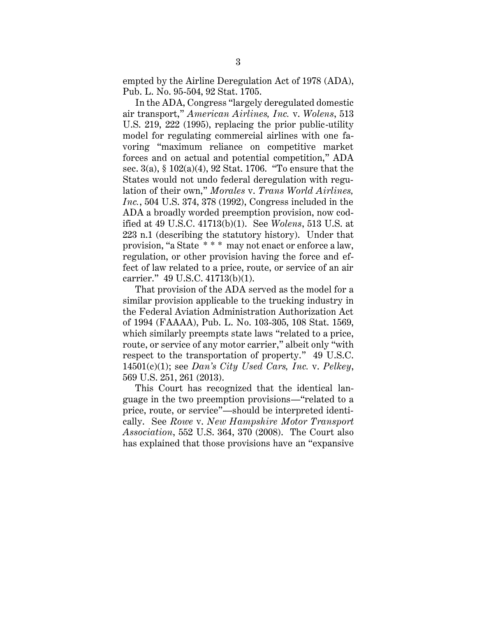empted by the Airline Deregulation Act of 1978 (ADA), Pub. L. No. 95-504, 92 Stat. 1705.

In the ADA, Congress "largely deregulated domestic air transport," *American Airlines, Inc.* v. *Wolens*, 513 U.S. 219, 222 (1995), replacing the prior public-utility model for regulating commercial airlines with one favoring "maximum reliance on competitive market forces and on actual and potential competition," ADA sec. 3(a), § 102(a)(4), 92 Stat. 1706. "To ensure that the States would not undo federal deregulation with regulation of their own," *Morales* v. *Trans World Airlines, Inc.*, 504 U.S. 374, 378 (1992), Congress included in the ADA a broadly worded preemption provision, now codified at 49 U.S.C. 41713(b)(1). See *Wolens*, 513 U.S. at 223 n.1 (describing the statutory history). Under that provision, "a State \* \* \* may not enact or enforce a law, regulation, or other provision having the force and effect of law related to a price, route, or service of an air carrier." 49 U.S.C. 41713(b)(1).

That provision of the ADA served as the model for a similar provision applicable to the trucking industry in the Federal Aviation Administration Authorization Act of 1994 (FAAAA), Pub. L. No. 103-305, 108 Stat. 1569, which similarly preempts state laws "related to a price, route, or service of any motor carrier," albeit only "with respect to the transportation of property." 49 U.S.C. 14501(c)(1); see *Dan's City Used Cars, Inc.* v. *Pelkey*, 569 U.S. 251, 261 (2013).

This Court has recognized that the identical language in the two preemption provisions—"related to a price, route, or service"—should be interpreted identically. See *Rowe* v. *New Hampshire Motor Transport Association*, 552 U.S. 364, 370 (2008). The Court also has explained that those provisions have an "expansive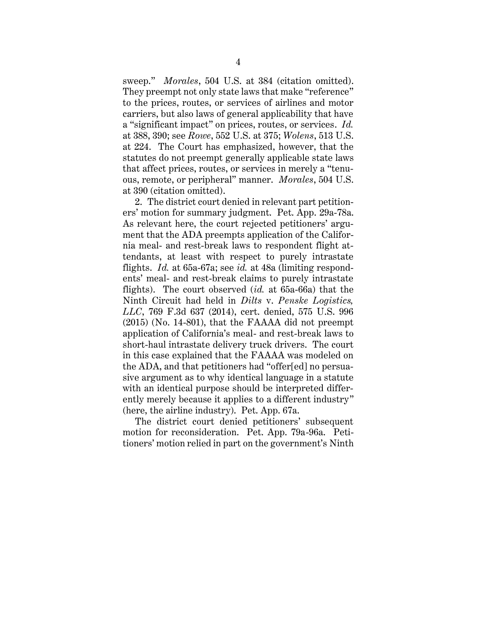sweep." *Morales*, 504 U.S. at 384 (citation omitted). They preempt not only state laws that make "reference" to the prices, routes, or services of airlines and motor carriers, but also laws of general applicability that have a "significant impact" on prices, routes, or services. *Id.* at 388, 390; see *Rowe*, 552 U.S. at 375; *Wolens*, 513 U.S. at 224. The Court has emphasized, however, that the statutes do not preempt generally applicable state laws that affect prices, routes, or services in merely a "tenuous, remote, or peripheral" manner. *Morales*, 504 U.S. at 390 (citation omitted).

2. The district court denied in relevant part petitioners' motion for summary judgment. Pet. App. 29a-78a. As relevant here, the court rejected petitioners' argument that the ADA preempts application of the California meal- and rest-break laws to respondent flight attendants, at least with respect to purely intrastate flights. *Id.* at 65a-67a; see *id.* at 48a (limiting respondents' meal- and rest-break claims to purely intrastate flights). The court observed (*id.* at 65a-66a) that the Ninth Circuit had held in *Dilts* v. *Penske Logistics, LLC*, 769 F.3d 637 (2014), cert. denied, 575 U.S. 996 (2015) (No. 14-801), that the FAAAA did not preempt application of California's meal- and rest-break laws to short-haul intrastate delivery truck drivers. The court in this case explained that the FAAAA was modeled on the ADA, and that petitioners had "offer[ed] no persuasive argument as to why identical language in a statute with an identical purpose should be interpreted differently merely because it applies to a different industry" (here, the airline industry). Pet. App. 67a.

The district court denied petitioners' subsequent motion for reconsideration. Pet. App. 79a-96a. Petitioners' motion relied in part on the government's Ninth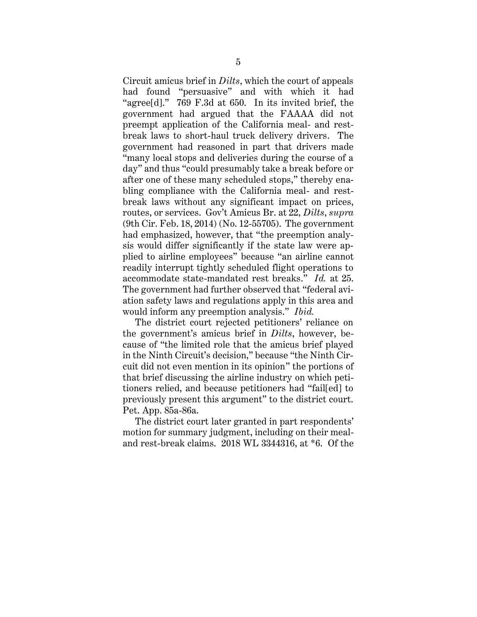Circuit amicus brief in *Dilts*, which the court of appeals had found "persuasive" and with which it had "agree[d]." 769 F.3d at 650. In its invited brief, the government had argued that the FAAAA did not preempt application of the California meal- and restbreak laws to short-haul truck delivery drivers. The government had reasoned in part that drivers made "many local stops and deliveries during the course of a day" and thus "could presumably take a break before or after one of these many scheduled stops," thereby enabling compliance with the California meal- and restbreak laws without any significant impact on prices, routes, or services. Gov't Amicus Br. at 22, *Dilts*, *supra* (9th Cir. Feb. 18, 2014) (No. 12-55705). The government had emphasized, however, that "the preemption analysis would differ significantly if the state law were applied to airline employees" because "an airline cannot readily interrupt tightly scheduled flight operations to accommodate state-mandated rest breaks." *Id.* at 25. The government had further observed that "federal aviation safety laws and regulations apply in this area and would inform any preemption analysis." *Ibid.*

The district court rejected petitioners' reliance on the government's amicus brief in *Dilts*, however, because of "the limited role that the amicus brief played in the Ninth Circuit's decision," because "the Ninth Circuit did not even mention in its opinion" the portions of that brief discussing the airline industry on which petitioners relied, and because petitioners had "fail[ed] to previously present this argument" to the district court. Pet. App. 85a-86a.

The district court later granted in part respondents' motion for summary judgment, including on their mealand rest-break claims. 2018 WL 3344316, at \*6. Of the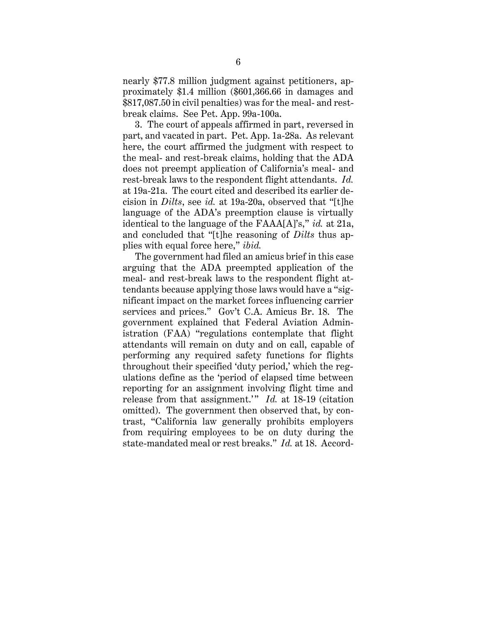nearly \$77.8 million judgment against petitioners, approximately \$1.4 million (\$601,366.66 in damages and \$817,087.50 in civil penalties) was for the meal- and restbreak claims. See Pet. App. 99a-100a.

3. The court of appeals affirmed in part, reversed in part, and vacated in part. Pet. App. 1a-28a. As relevant here, the court affirmed the judgment with respect to the meal- and rest-break claims, holding that the ADA does not preempt application of California's meal- and rest-break laws to the respondent flight attendants. *Id.* at 19a-21a. The court cited and described its earlier decision in *Dilts*, see *id.* at 19a-20a, observed that "[t]he language of the ADA's preemption clause is virtually identical to the language of the FAAA[A]'s," *id.* at 21a, and concluded that "[t]he reasoning of *Dilts* thus applies with equal force here," *ibid.*

The government had filed an amicus brief in this case arguing that the ADA preempted application of the meal- and rest-break laws to the respondent flight attendants because applying those laws would have a "significant impact on the market forces influencing carrier services and prices." Gov't C.A. Amicus Br. 18. The government explained that Federal Aviation Administration (FAA) "regulations contemplate that flight attendants will remain on duty and on call, capable of performing any required safety functions for flights throughout their specified 'duty period,' which the regulations define as the 'period of elapsed time between reporting for an assignment involving flight time and release from that assignment.'" *Id.* at 18-19 (citation omitted). The government then observed that, by contrast, "California law generally prohibits employers from requiring employees to be on duty during the state-mandated meal or rest breaks." *Id.* at 18. Accord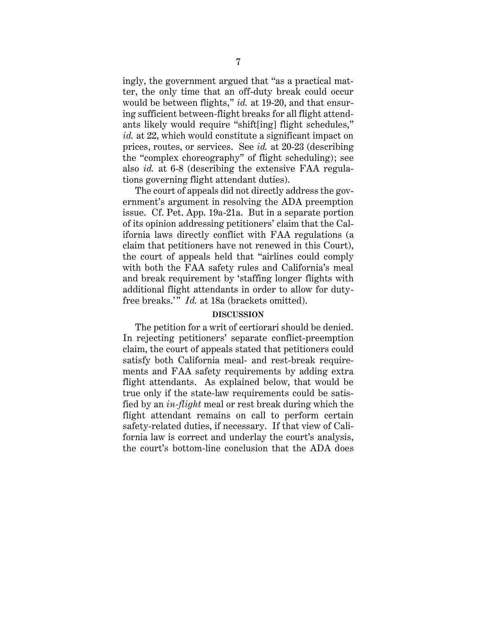ingly, the government argued that "as a practical matter, the only time that an off-duty break could occur would be between flights," *id.* at 19-20, and that ensuring sufficient between-flight breaks for all flight attendants likely would require "shift[ing] flight schedules," *id.* at 22, which would constitute a significant impact on prices, routes, or services. See *id.* at 20-23 (describing the "complex choreography" of flight scheduling); see also *id.* at 6-8 (describing the extensive FAA regulations governing flight attendant duties).

The court of appeals did not directly address the government's argument in resolving the ADA preemption issue. Cf. Pet. App. 19a-21a. But in a separate portion of its opinion addressing petitioners' claim that the California laws directly conflict with FAA regulations (a claim that petitioners have not renewed in this Court), the court of appeals held that "airlines could comply with both the FAA safety rules and California's meal and break requirement by 'staffing longer flights with additional flight attendants in order to allow for dutyfree breaks." *Id.* at 18a (brackets omitted).

### **DISCUSSION**

<span id="page-12-0"></span>The petition for a writ of certiorari should be denied. In rejecting petitioners' separate conflict-preemption claim, the court of appeals stated that petitioners could satisfy both California meal- and rest-break requirements and FAA safety requirements by adding extra flight attendants. As explained below, that would be true only if the state-law requirements could be satisfied by an *in-flight* meal or rest break during which the flight attendant remains on call to perform certain safety-related duties, if necessary. If that view of California law is correct and underlay the court's analysis, the court's bottom-line conclusion that the ADA does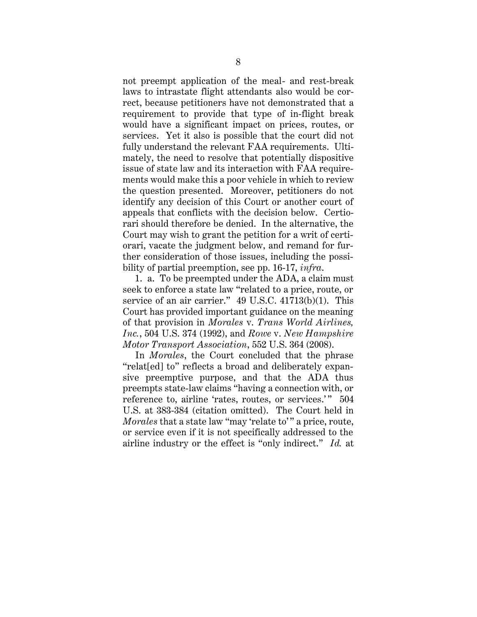not preempt application of the meal- and rest-break laws to intrastate flight attendants also would be correct, because petitioners have not demonstrated that a requirement to provide that type of in-flight break would have a significant impact on prices, routes, or services. Yet it also is possible that the court did not fully understand the relevant FAA requirements. Ultimately, the need to resolve that potentially dispositive issue of state law and its interaction with FAA requirements would make this a poor vehicle in which to review the question presented. Moreover, petitioners do not identify any decision of this Court or another court of appeals that conflicts with the decision below. Certiorari should therefore be denied. In the alternative, the Court may wish to grant the petition for a writ of certiorari, vacate the judgment below, and remand for further consideration of those issues, including the possibility of partial preemption, see pp. 16-17, *infra*.

1. a. To be preempted under the ADA, a claim must seek to enforce a state law "related to a price, route, or service of an air carrier." 49 U.S.C. 41713(b)(1). This Court has provided important guidance on the meaning of that provision in *Morales* v. *Trans World Airlines, Inc.*, 504 U.S. 374 (1992), and *Rowe* v. *New Hampshire Motor Transport Association*, 552 U.S. 364 (2008).

In *Morales*, the Court concluded that the phrase "relat[ed] to" reflects a broad and deliberately expansive preemptive purpose, and that the ADA thus preempts state-law claims "having a connection with, or reference to, airline 'rates, routes, or services.'" 504 U.S. at 383-384 (citation omitted). The Court held in *Morales* that a state law "may 'relate to'" a price, route, or service even if it is not specifically addressed to the airline industry or the effect is "only indirect." *Id.* at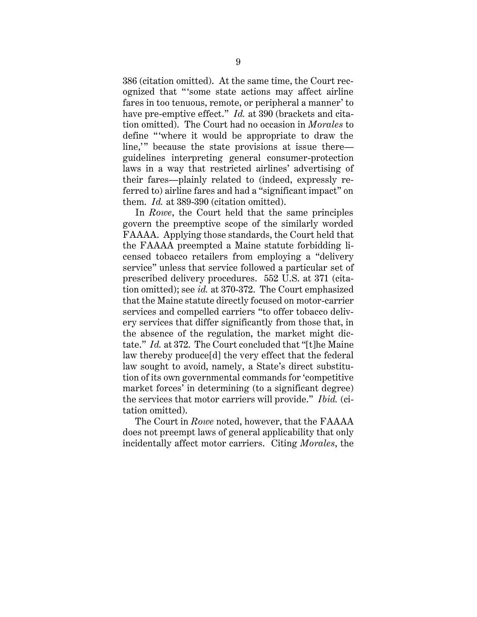386 (citation omitted). At the same time, the Court recognized that "'some state actions may affect airline fares in too tenuous, remote, or peripheral a manner' to have pre-emptive effect." *Id.* at 390 (brackets and citation omitted). The Court had no occasion in *Morales* to define "where it would be appropriate to draw the line," because the state provisions at issue there guidelines interpreting general consumer-protection laws in a way that restricted airlines' advertising of their fares—plainly related to (indeed, expressly referred to) airline fares and had a "significant impact" on them. *Id.* at 389-390 (citation omitted).

In *Rowe*, the Court held that the same principles govern the preemptive scope of the similarly worded FAAAA. Applying those standards, the Court held that the FAAAA preempted a Maine statute forbidding licensed tobacco retailers from employing a "delivery service" unless that service followed a particular set of prescribed delivery procedures. 552 U.S. at 371 (citation omitted); see *id.* at 370-372. The Court emphasized that the Maine statute directly focused on motor-carrier services and compelled carriers "to offer tobacco delivery services that differ significantly from those that, in the absence of the regulation, the market might dictate." *Id.* at 372. The Court concluded that "[t]he Maine law thereby produce[d] the very effect that the federal law sought to avoid, namely, a State's direct substitution of its own governmental commands for 'competitive market forces' in determining (to a significant degree) the services that motor carriers will provide." *Ibid.* (citation omitted).

The Court in *Rowe* noted, however, that the FAAAA does not preempt laws of general applicability that only incidentally affect motor carriers. Citing *Morales*, the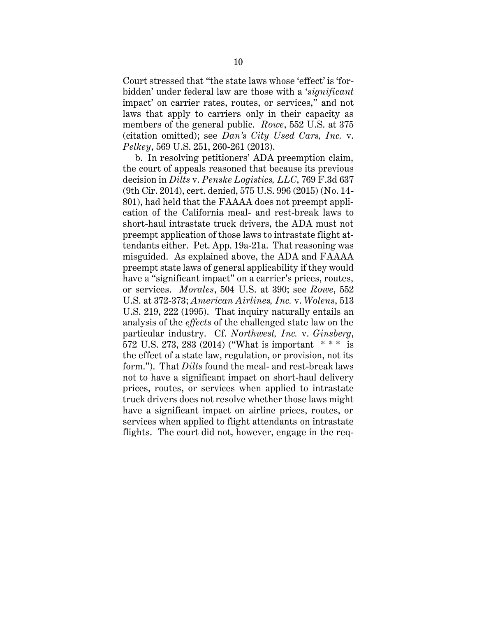Court stressed that "the state laws whose 'effect' is 'forbidden' under federal law are those with a '*significant*  impact' on carrier rates, routes, or services," and not laws that apply to carriers only in their capacity as members of the general public. *Rowe*, 552 U.S. at 375 (citation omitted); see *Dan's City Used Cars, Inc.* v. *Pelkey*, 569 U.S. 251, 260-261 (2013).

b. In resolving petitioners' ADA preemption claim, the court of appeals reasoned that because its previous decision in *Dilts* v. *Penske Logistics, LLC*, 769 F.3d 637 (9th Cir. 2014), cert. denied, 575 U.S. 996 (2015) (No. 14- 801), had held that the FAAAA does not preempt application of the California meal- and rest-break laws to short-haul intrastate truck drivers, the ADA must not preempt application of those laws to intrastate flight attendants either. Pet. App. 19a-21a. That reasoning was misguided. As explained above, the ADA and FAAAA preempt state laws of general applicability if they would have a "significant impact" on a carrier's prices, routes, or services. *Morales*, 504 U.S. at 390; see *Rowe*, 552 U.S. at 372-373; *American Airlines, Inc.* v. *Wolens*, 513 U.S. 219, 222 (1995). That inquiry naturally entails an analysis of the *effects* of the challenged state law on the particular industry. Cf. *Northwest, Inc.* v. *Ginsberg*, 572 U.S. 273, 283 (2014) ("What is important \* \* \* is the effect of a state law, regulation, or provision, not its form."). That *Dilts* found the meal- and rest-break laws not to have a significant impact on short-haul delivery prices, routes, or services when applied to intrastate truck drivers does not resolve whether those laws might have a significant impact on airline prices, routes, or services when applied to flight attendants on intrastate flights. The court did not, however, engage in the req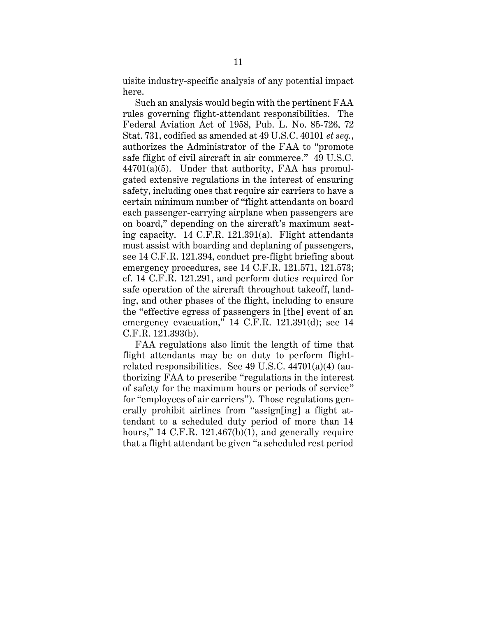uisite industry-specific analysis of any potential impact here.

Such an analysis would begin with the pertinent FAA rules governing flight-attendant responsibilities. The Federal Aviation Act of 1958, Pub. L. No. 85-726, 72 Stat. 731, codified as amended at 49 U.S.C. 40101 *et seq.*, authorizes the Administrator of the FAA to "promote safe flight of civil aircraft in air commerce." 49 U.S.C.  $44701(a)(5)$ . Under that authority, FAA has promulgated extensive regulations in the interest of ensuring safety, including ones that require air carriers to have a certain minimum number of "flight attendants on board each passenger-carrying airplane when passengers are on board," depending on the aircraft's maximum seating capacity. 14 C.F.R. 121.391(a). Flight attendants must assist with boarding and deplaning of passengers, see 14 C.F.R. 121.394, conduct pre-flight briefing about emergency procedures, see 14 C.F.R. 121.571, 121.573; cf. 14 C.F.R. 121.291, and perform duties required for safe operation of the aircraft throughout takeoff, landing, and other phases of the flight, including to ensure the "effective egress of passengers in [the] event of an emergency evacuation," 14 C.F.R. 121.391(d); see 14 C.F.R. 121.393(b).

FAA regulations also limit the length of time that flight attendants may be on duty to perform flightrelated responsibilities. See 49 U.S.C. 44701(a)(4) (authorizing FAA to prescribe "regulations in the interest of safety for the maximum hours or periods of service" for "employees of air carriers"). Those regulations generally prohibit airlines from "assign[ing] a flight attendant to a scheduled duty period of more than 14 hours," 14 C.F.R. 121.467(b)(1), and generally require that a flight attendant be given "a scheduled rest period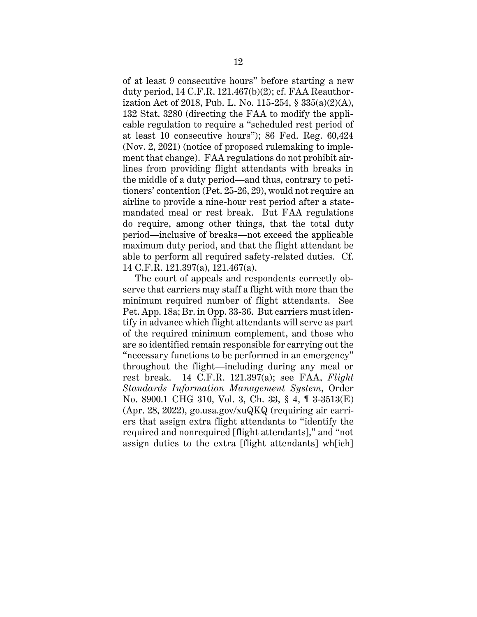of at least 9 consecutive hours" before starting a new duty period, 14 C.F.R. 121.467(b)(2); cf. FAA Reauthorization Act of 2018, Pub. L. No. 115-254, § 335(a)(2)(A), 132 Stat. 3280 (directing the FAA to modify the applicable regulation to require a "scheduled rest period of at least 10 consecutive hours"); 86 Fed. Reg. 60,424 (Nov. 2, 2021) (notice of proposed rulemaking to implement that change). FAA regulations do not prohibit airlines from providing flight attendants with breaks in the middle of a duty period—and thus, contrary to petitioners' contention (Pet. 25-26, 29), would not require an airline to provide a nine-hour rest period after a statemandated meal or rest break. But FAA regulations do require, among other things, that the total duty period—inclusive of breaks—not exceed the applicable maximum duty period, and that the flight attendant be able to perform all required safety-related duties. Cf. 14 C.F.R. 121.397(a), 121.467(a).

The court of appeals and respondents correctly observe that carriers may staff a flight with more than the minimum required number of flight attendants. See Pet. App. 18a; Br. in Opp. 33-36. But carriers must identify in advance which flight attendants will serve as part of the required minimum complement, and those who are so identified remain responsible for carrying out the "necessary functions to be performed in an emergency" throughout the flight—including during any meal or rest break. 14 C.F.R. 121.397(a); see FAA, *Flight Standards Information Management System*, Order No. 8900.1 CHG 310, Vol. 3, Ch. 33, § 4, ¶ 3-3513(E) (Apr. 28, 2022), go.usa.gov/xuQKQ (requiring air carriers that assign extra flight attendants to "identify the required and nonrequired [flight attendants]," and "not assign duties to the extra [flight attendants] wh[ich]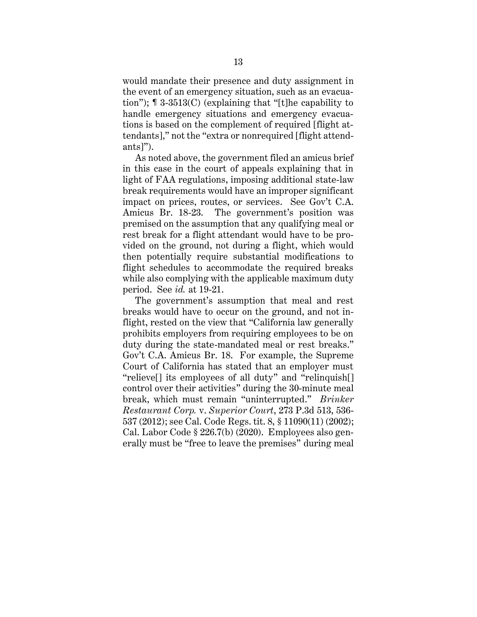would mandate their presence and duty assignment in the event of an emergency situation, such as an evacuation"); ¶ 3-3513(C) (explaining that "[t]he capability to handle emergency situations and emergency evacuations is based on the complement of required [flight attendants]," not the "extra or nonrequired [flight attendants]").

As noted above, the government filed an amicus brief in this case in the court of appeals explaining that in light of FAA regulations, imposing additional state-law break requirements would have an improper significant impact on prices, routes, or services. See Gov't C.A. Amicus Br. 18-23. The government's position was premised on the assumption that any qualifying meal or rest break for a flight attendant would have to be provided on the ground, not during a flight, which would then potentially require substantial modifications to flight schedules to accommodate the required breaks while also complying with the applicable maximum duty period. See *id.* at 19-21.

The government's assumption that meal and rest breaks would have to occur on the ground, and not inflight, rested on the view that "California law generally prohibits employers from requiring employees to be on duty during the state-mandated meal or rest breaks." Gov't C.A. Amicus Br. 18. For example, the Supreme Court of California has stated that an employer must "relieve[] its employees of all duty" and "relinquish[] control over their activities" during the 30-minute meal break, which must remain "uninterrupted." *Brinker Restaurant Corp.* v. *Superior Court*, 273 P.3d 513, 536- 537 (2012); see Cal. Code Regs. tit. 8, § 11090(11) (2002); Cal. Labor Code § 226.7(b) (2020). Employees also generally must be "free to leave the premises" during meal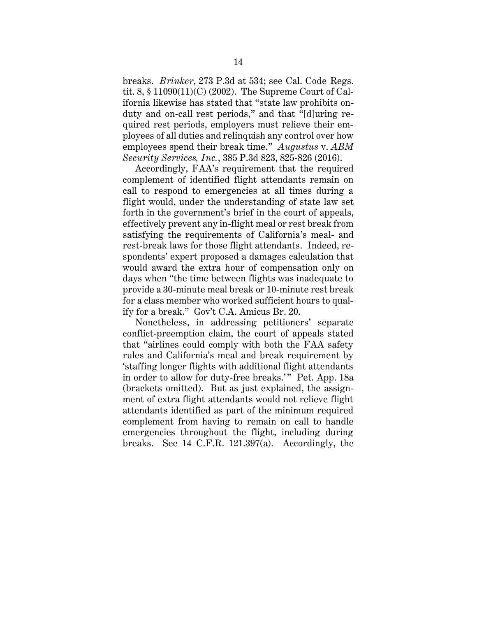breaks. *Brinker*, 273 P.3d at 534; see Cal. Code Regs. tit. 8, § 11090(11)(C) (2002). The Supreme Court of California likewise has stated that "state law prohibits onduty and on-call rest periods," and that "[d]uring required rest periods, employers must relieve their employees of all duties and relinquish any control over how employees spend their break time." *Augustus* v. *ABM Security Services, Inc.*, 385 P.3d 823, 825-826 (2016).

Accordingly, FAA's requirement that the required complement of identified flight attendants remain on call to respond to emergencies at all times during a flight would, under the understanding of state law set forth in the government's brief in the court of appeals, effectively prevent any in-flight meal or rest break from satisfying the requirements of California's meal- and rest-break laws for those flight attendants. Indeed, respondents' expert proposed a damages calculation that would award the extra hour of compensation only on days when "the time between flights was inadequate to provide a 30-minute meal break or 10-minute rest break for a class member who worked sufficient hours to qualify for a break." Gov't C.A. Amicus Br. 20.

Nonetheless, in addressing petitioners' separate conflict-preemption claim, the court of appeals stated that "airlines could comply with both the FAA safety rules and California's meal and break requirement by 'staffing longer flights with additional flight attendants in order to allow for duty-free breaks.'" Pet. App. 18a (brackets omitted). But as just explained, the assignment of extra flight attendants would not relieve flight attendants identified as part of the minimum required complement from having to remain on call to handle emergencies throughout the flight, including during breaks. See 14 C.F.R. 121.397(a). Accordingly, the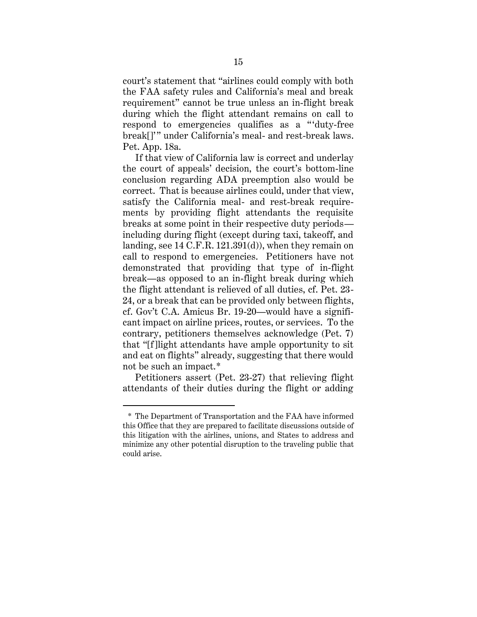court's statement that "airlines could comply with both the FAA safety rules and California's meal and break requirement" cannot be true unless an in-flight break during which the flight attendant remains on call to respond to emergencies qualifies as a "'duty-free break[]'" under California's meal- and rest-break laws. Pet. App. 18a.

If that view of California law is correct and underlay the court of appeals' decision, the court's bottom-line conclusion regarding ADA preemption also would be correct. That is because airlines could, under that view, satisfy the California meal- and rest-break requirements by providing flight attendants the requisite breaks at some point in their respective duty periods including during flight (except during taxi, takeoff, and landing, see 14 C.F.R. 121.391(d)), when they remain on call to respond to emergencies. Petitioners have not demonstrated that providing that type of in-flight break—as opposed to an in-flight break during which the flight attendant is relieved of all duties, cf. Pet. 23- 24, or a break that can be provided only between flights, cf. Gov't C.A. Amicus Br. 19-20—would have a significant impact on airline prices, routes, or services. To the contrary, petitioners themselves acknowledge (Pet. 7) that "[f]light attendants have ample opportunity to sit and eat on flights" already, suggesting that there would not be such an impact.\*

Petitioners assert (Pet. 23-27) that relieving flight attendants of their duties during the flight or adding

<sup>\*</sup> The Department of Transportation and the FAA have informed this Office that they are prepared to facilitate discussions outside of this litigation with the airlines, unions, and States to address and minimize any other potential disruption to the traveling public that could arise.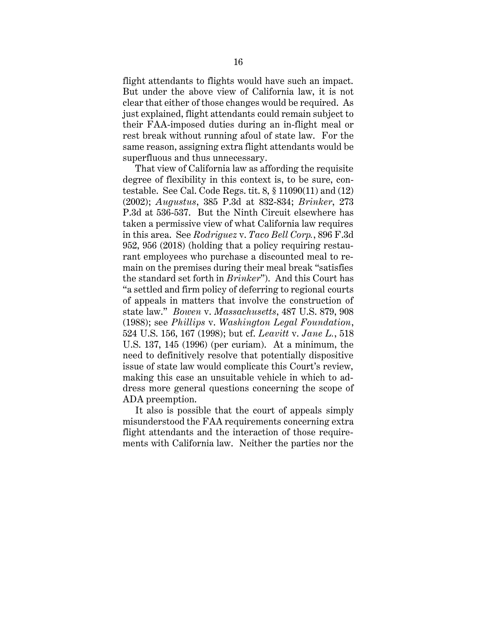flight attendants to flights would have such an impact. But under the above view of California law, it is not clear that either of those changes would be required. As just explained, flight attendants could remain subject to their FAA-imposed duties during an in-flight meal or rest break without running afoul of state law. For the same reason, assigning extra flight attendants would be superfluous and thus unnecessary.

That view of California law as affording the requisite degree of flexibility in this context is, to be sure, contestable. See Cal. Code Regs. tit. 8, § 11090(11) and (12) (2002); *Augustus*, 385 P.3d at 832-834; *Brinker*, 273 P.3d at 536-537. But the Ninth Circuit elsewhere has taken a permissive view of what California law requires in this area. See *Rodriguez* v. *Taco Bell Corp.*, 896 F.3d 952, 956 (2018) (holding that a policy requiring restaurant employees who purchase a discounted meal to remain on the premises during their meal break "satisfies the standard set forth in *Brinker*"). And this Court has "a settled and firm policy of deferring to regional courts of appeals in matters that involve the construction of state law." *Bowen* v. *Massachusetts*, 487 U.S. 879, 908 (1988); see *Phillips* v. *Washington Legal Foundation*, 524 U.S. 156, 167 (1998); but cf. *Leavitt* v. *Jane L.*, 518 U.S. 137, 145 (1996) (per curiam). At a minimum, the need to definitively resolve that potentially dispositive issue of state law would complicate this Court's review, making this case an unsuitable vehicle in which to address more general questions concerning the scope of ADA preemption.

It also is possible that the court of appeals simply misunderstood the FAA requirements concerning extra flight attendants and the interaction of those requirements with California law. Neither the parties nor the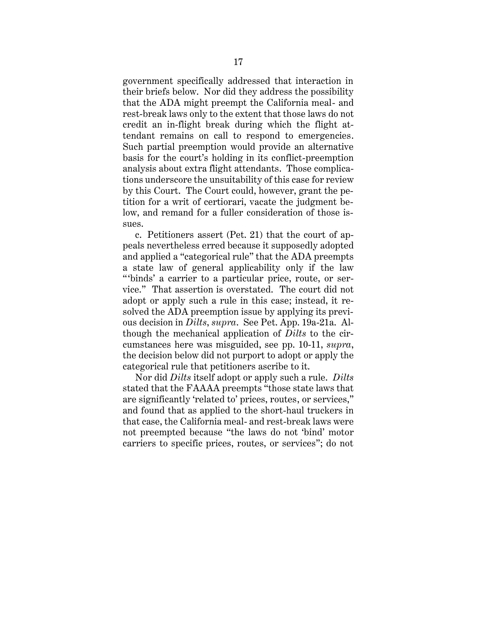government specifically addressed that interaction in their briefs below. Nor did they address the possibility that the ADA might preempt the California meal- and rest-break laws only to the extent that those laws do not credit an in-flight break during which the flight attendant remains on call to respond to emergencies. Such partial preemption would provide an alternative basis for the court's holding in its conflict-preemption analysis about extra flight attendants. Those complications underscore the unsuitability of this case for review by this Court. The Court could, however, grant the petition for a writ of certiorari, vacate the judgment below, and remand for a fuller consideration of those issues.

c. Petitioners assert (Pet. 21) that the court of appeals nevertheless erred because it supposedly adopted and applied a "categorical rule" that the ADA preempts a state law of general applicability only if the law "binds' a carrier to a particular price, route, or service." That assertion is overstated. The court did not adopt or apply such a rule in this case; instead, it resolved the ADA preemption issue by applying its previous decision in *Dilts*, *supra*. See Pet. App. 19a-21a. Although the mechanical application of *Dilts* to the circumstances here was misguided, see pp. 10-11, *supra*, the decision below did not purport to adopt or apply the categorical rule that petitioners ascribe to it.

Nor did *Dilts* itself adopt or apply such a rule. *Dilts* stated that the FAAAA preempts "those state laws that are significantly 'related to' prices, routes, or services," and found that as applied to the short-haul truckers in that case, the California meal- and rest-break laws were not preempted because "the laws do not 'bind' motor carriers to specific prices, routes, or services"; do not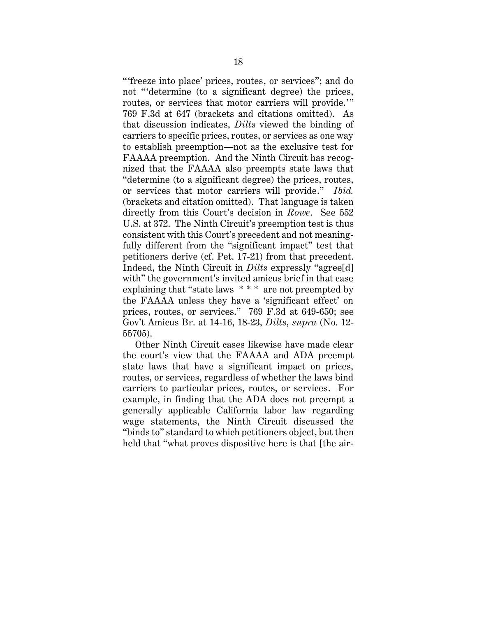" freeze into place' prices, routes, or services"; and do not " determine (to a significant degree) the prices, routes, or services that motor carriers will provide.'" 769 F.3d at 647 (brackets and citations omitted). As that discussion indicates, *Dilts* viewed the binding of carriers to specific prices, routes, or services as one way to establish preemption—not as the exclusive test for FAAAA preemption. And the Ninth Circuit has recognized that the FAAAA also preempts state laws that "determine (to a significant degree) the prices, routes, or services that motor carriers will provide." *Ibid.* (brackets and citation omitted). That language is taken directly from this Court's decision in *Rowe*. See 552 U.S. at 372. The Ninth Circuit's preemption test is thus consistent with this Court's precedent and not meaningfully different from the "significant impact" test that petitioners derive (cf. Pet. 17-21) from that precedent. Indeed, the Ninth Circuit in *Dilts* expressly "agree[d] with" the government's invited amicus brief in that case explaining that "state laws \* \* \* are not preempted by the FAAAA unless they have a 'significant effect' on prices, routes, or services." 769 F.3d at 649-650; see Gov't Amicus Br. at 14-16, 18-23, *Dilts*, *supra* (No. 12- 55705).

Other Ninth Circuit cases likewise have made clear the court's view that the FAAAA and ADA preempt state laws that have a significant impact on prices, routes, or services, regardless of whether the laws bind carriers to particular prices, routes, or services. For example, in finding that the ADA does not preempt a generally applicable California labor law regarding wage statements, the Ninth Circuit discussed the "binds to" standard to which petitioners object, but then held that "what proves dispositive here is that [the air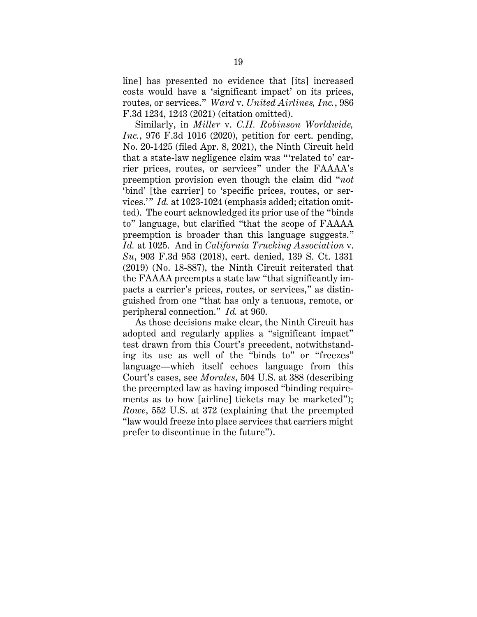line] has presented no evidence that [its] increased costs would have a 'significant impact' on its prices, routes, or services." *Ward* v. *United Airlines, Inc.*, 986 F.3d 1234, 1243 (2021) (citation omitted).

Similarly, in *Miller* v. *C.H. Robinson Worldwide, Inc.*, 976 F.3d 1016 (2020), petition for cert. pending, No. 20-1425 (filed Apr. 8, 2021), the Ninth Circuit held that a state-law negligence claim was " 'related to' carrier prices, routes, or services" under the FAAAA's preemption provision even though the claim did "*not* 'bind' [the carrier] to 'specific prices, routes, or services.'" *Id.* at 1023-1024 (emphasis added; citation omitted). The court acknowledged its prior use of the "binds to" language, but clarified "that the scope of FAAAA preemption is broader than this language suggests." *Id.* at 1025. And in *California Trucking Association* v. *Su*, 903 F.3d 953 (2018), cert. denied, 139 S. Ct. 1331 (2019) (No. 18-887), the Ninth Circuit reiterated that the FAAAA preempts a state law "that significantly impacts a carrier's prices, routes, or services," as distinguished from one "that has only a tenuous, remote, or peripheral connection." *Id.* at 960.

As those decisions make clear, the Ninth Circuit has adopted and regularly applies a "significant impact" test drawn from this Court's precedent, notwithstanding its use as well of the "binds to" or "freezes" language—which itself echoes language from this Court's cases, see *Morales*, 504 U.S. at 388 (describing the preempted law as having imposed "binding requirements as to how [airline] tickets may be marketed"); *Rowe*, 552 U.S. at 372 (explaining that the preempted "law would freeze into place services that carriers might prefer to discontinue in the future").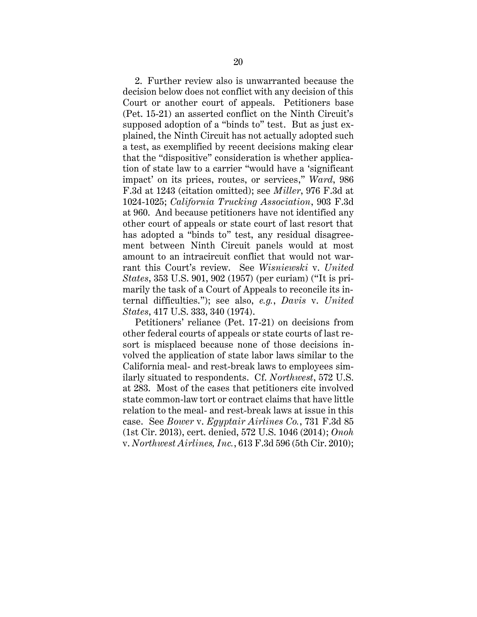2. Further review also is unwarranted because the decision below does not conflict with any decision of this Court or another court of appeals. Petitioners base (Pet. 15-21) an asserted conflict on the Ninth Circuit's supposed adoption of a "binds to" test. But as just explained, the Ninth Circuit has not actually adopted such a test, as exemplified by recent decisions making clear that the "dispositive" consideration is whether application of state law to a carrier "would have a 'significant impact' on its prices, routes, or services," *Ward*, 986 F.3d at 1243 (citation omitted); see *Miller*, 976 F.3d at 1024-1025; *California Trucking Association*, 903 F.3d at 960. And because petitioners have not identified any other court of appeals or state court of last resort that has adopted a "binds to" test, any residual disagreement between Ninth Circuit panels would at most amount to an intracircuit conflict that would not warrant this Court's review. See *Wisniewski* v. *United States*, 353 U.S. 901, 902 (1957) (per curiam) ("It is primarily the task of a Court of Appeals to reconcile its internal difficulties."); see also, *e.g.*, *Davis* v. *United States*, 417 U.S. 333, 340 (1974).

Petitioners' reliance (Pet. 17-21) on decisions from other federal courts of appeals or state courts of last resort is misplaced because none of those decisions involved the application of state labor laws similar to the California meal- and rest-break laws to employees similarly situated to respondents. Cf. *Northwest*, 572 U.S. at 283. Most of the cases that petitioners cite involved state common-law tort or contract claims that have little relation to the meal- and rest-break laws at issue in this case. See *Bower* v. *Egyptair Airlines Co.*, 731 F.3d 85 (1st Cir. 2013), cert. denied, 572 U.S. 1046 (2014); *Onoh* v. *Northwest Airlines, Inc.*, 613 F.3d 596 (5th Cir. 2010);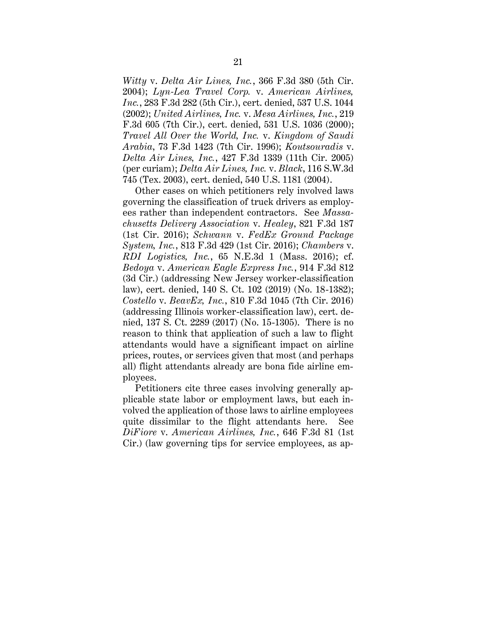*Witty* v. *Delta Air Lines, Inc.*, 366 F.3d 380 (5th Cir. 2004); *Lyn-Lea Travel Corp.* v. *American Airlines, Inc.*, 283 F.3d 282 (5th Cir.), cert. denied, 537 U.S. 1044 (2002); *United Airlines, Inc.* v. *Mesa Airlines, Inc.*, 219 F.3d 605 (7th Cir.), cert. denied, 531 U.S. 1036 (2000); *Travel All Over the World, Inc.* v. *Kingdom of Saudi Arabia*, 73 F.3d 1423 (7th Cir. 1996); *Koutsouradis* v. *Delta Air Lines, Inc.*, 427 F.3d 1339 (11th Cir. 2005) (per curiam); *Delta Air Lines, Inc.* v. *Black*, 116 S.W.3d 745 (Tex. 2003), cert. denied, 540 U.S. 1181 (2004).

Other cases on which petitioners rely involved laws governing the classification of truck drivers as employees rather than independent contractors. See *Massachusetts Delivery Association* v. *Healey*, 821 F.3d 187 (1st Cir. 2016); *Schwann* v. *FedEx Ground Package System, Inc.*, 813 F.3d 429 (1st Cir. 2016); *Chambers* v. *RDI Logistics, Inc.*, 65 N.E.3d 1 (Mass. 2016); cf. *Bedoya* v. *American Eagle Express Inc.*, 914 F.3d 812 (3d Cir.) (addressing New Jersey worker-classification law), cert. denied, 140 S. Ct. 102 (2019) (No. 18-1382); *Costello* v. *BeavEx, Inc.*, 810 F.3d 1045 (7th Cir. 2016) (addressing Illinois worker-classification law), cert. denied, 137 S. Ct. 2289 (2017) (No. 15-1305). There is no reason to think that application of such a law to flight attendants would have a significant impact on airline prices, routes, or services given that most (and perhaps all) flight attendants already are bona fide airline employees.

Petitioners cite three cases involving generally applicable state labor or employment laws, but each involved the application of those laws to airline employees quite dissimilar to the flight attendants here. See *DiFiore* v. *American Airlines, Inc.*, 646 F.3d 81 (1st Cir.) (law governing tips for service employees, as ap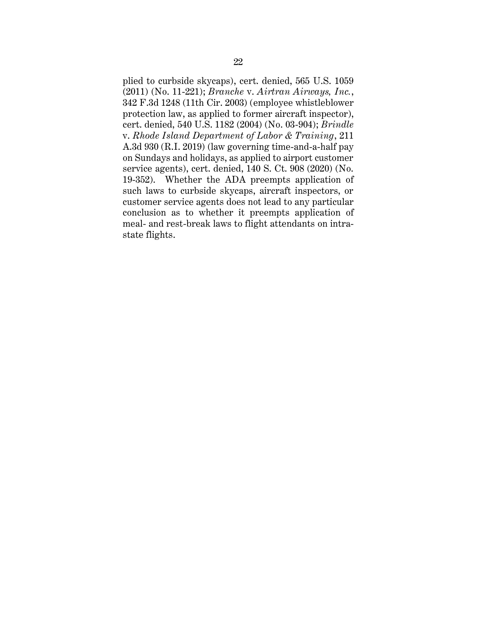plied to curbside skycaps), cert. denied, 565 U.S. 1059 (2011) (No. 11-221); *Branche* v. *Airtran Airways, Inc.*, 342 F.3d 1248 (11th Cir. 2003) (employee whistleblower protection law, as applied to former aircraft inspector), cert. denied, 540 U.S. 1182 (2004) (No. 03-904); *Brindle* v. *Rhode Island Department of Labor & Training*, 211 A.3d 930 (R.I. 2019) (law governing time-and-a-half pay on Sundays and holidays, as applied to airport customer service agents), cert. denied, 140 S. Ct. 908 (2020) (No. 19-352). Whether the ADA preempts application of such laws to curbside skycaps, aircraft inspectors, or customer service agents does not lead to any particular conclusion as to whether it preempts application of meal- and rest-break laws to flight attendants on intrastate flights.